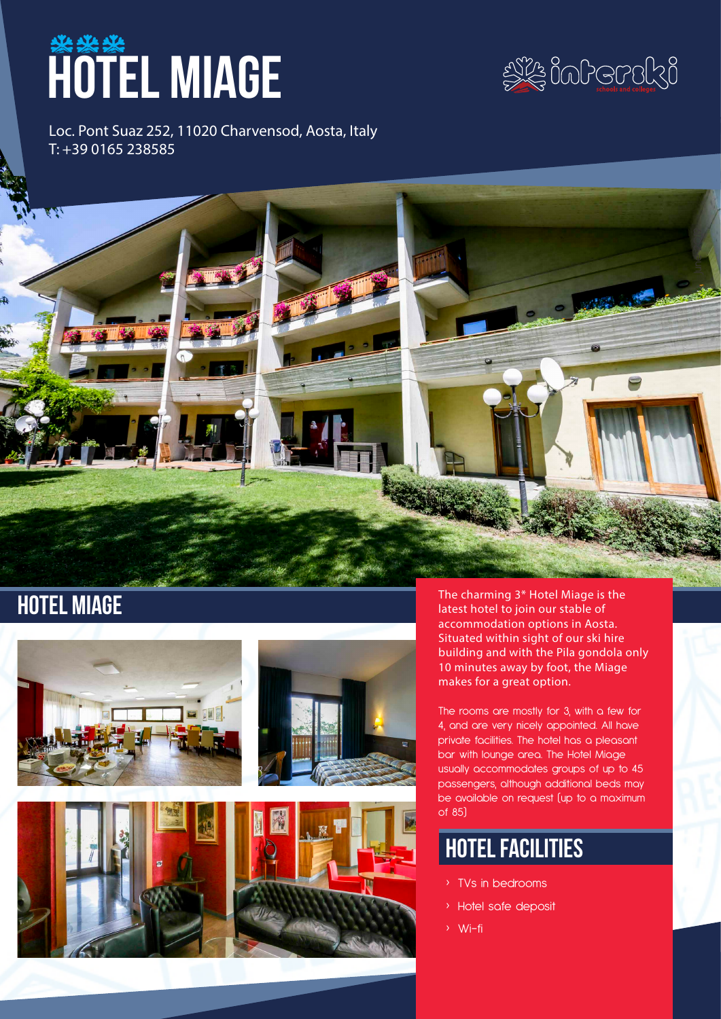# **HOTEL MIAGE**



Loc. Pont Suaz 252, 11020 Charvensod, Aosta, Italy T: +39 0165 238585







**HOTEL MIAGE** The charming 3\* Hotel Miage is the The Charming 3\* Hotel Miage is the latest hotel to join our stable of latest hotel to join our stable of accommodation options in Aosta. Situated within sight of our ski hire building and with the Pila gondola only 10 minutes away by foot, the Miage makes for a great option.

> The rooms are mostly for 3, with a few for 4, and are very nicely appointed. All have private facilities. The hotel has a pleasant bar with lounge area. The Hotel Miage usually accommodates groups of up to 45 passengers, although additional beds may be available on request (up to a maximum of 85)

## hotel facilities

- › TVs in bedrooms
- › Hotel safe deposit
- › Wi-fi